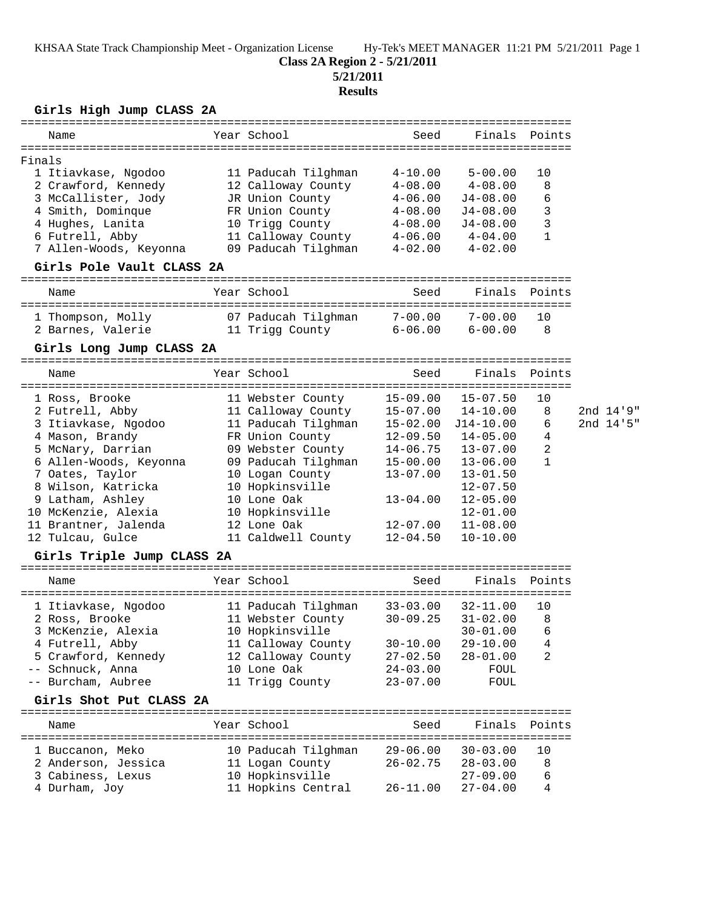KHSAA State Track Championship Meet - Organization License Hy-Tek's MEET MANAGER 11:21 PM 5/21/2011 Page 1

# **Class 2A Region 2 - 5/21/2011**

**5/21/2011**

### **Results**

## **Girls High Jump CLASS 2A**

| Name                       |  | Year School         | Seed         |                       | Finals Points |           |
|----------------------------|--|---------------------|--------------|-----------------------|---------------|-----------|
|                            |  |                     |              |                       |               |           |
| Finals                     |  |                     |              |                       |               |           |
| 1 Itiavkase, Ngodoo        |  | 11 Paducah Tilghman | $4 - 10.00$  | $5 - 00.00$           | 10            |           |
| 2 Crawford, Kennedy        |  | 12 Calloway County  | $4 - 08.00$  | $4 - 08.00$           | 8             |           |
| 3 McCallister, Jody        |  | JR Union County     | $4 - 06.00$  | $J4-08.00$            | 6             |           |
| 4 Smith, Dominque          |  | FR Union County     | $4 - 08.00$  | $J4-08.00$            | 3             |           |
| 4 Hughes, Lanita           |  | 10 Trigg County     | $4 - 08.00$  | J4-08.00              | 3             |           |
| 6 Futrell, Abby            |  | 11 Calloway County  | $4 - 06.00$  | $4 - 04.00$           | 1             |           |
| 7 Allen-Woods, Keyonna     |  | 09 Paducah Tilghman | $4 - 02.00$  | $4 - 02.00$           |               |           |
| Girls Pole Vault CLASS 2A  |  |                     |              |                       |               |           |
| Name                       |  | Year School         | Seed         |                       | Finals Points |           |
| 1 Thompson, Molly          |  | 07 Paducah Tilghman | $7 - 00.00$  | 7-00.00               | 10            |           |
| 2 Barnes, Valerie          |  | 11 Trigg County     | $6 - 06.00$  | $6 - 00.00$           | 8             |           |
| Girls Long Jump CLASS 2A   |  |                     |              |                       |               |           |
| Name                       |  | Year School         | Seed         |                       | Finals Points |           |
| 1 Ross, Brooke             |  | 11 Webster County   | $15 - 09.00$ | $15 - 07.50$          | 10            |           |
| 2 Futrell, Abby            |  | 11 Calloway County  |              | $15-07.00$ $14-10.00$ | 8             | 2nd 14'9" |
| 3 Itiavkase, Ngodoo        |  | 11 Paducah Tilghman |              | 15-02.00 J14-10.00    | 6             | 2nd 14'5" |
| 4 Mason, Brandy            |  | FR Union County     | $12 - 09.50$ | $14 - 05.00$          | 4             |           |
| 5 McNary, Darrian          |  | 09 Webster County   | $14 - 06.75$ | $13 - 07.00$          | 2             |           |
| 6 Allen-Woods, Keyonna     |  | 09 Paducah Tilghman | $15 - 00.00$ | $13 - 06.00$          | $\mathbf{1}$  |           |
| 7 Oates, Taylor            |  | 10 Logan County     | $13 - 07.00$ | $13 - 01.50$          |               |           |
| 8 Wilson, Katricka         |  | 10 Hopkinsville     |              | $12 - 07.50$          |               |           |
| 9 Latham, Ashley           |  | 10 Lone Oak         | $13 - 04.00$ | $12 - 05.00$          |               |           |
| 10 McKenzie, Alexia        |  | 10 Hopkinsville     |              | $12 - 01.00$          |               |           |
| 11 Brantner, Jalenda       |  | 12 Lone Oak         | $12 - 07.00$ | $11 - 08.00$          |               |           |
| 12 Tulcau, Gulce           |  | 11 Caldwell County  | $12 - 04.50$ | $10 - 10.00$          |               |           |
| Girls Triple Jump CLASS 2A |  |                     |              |                       |               |           |
|                            |  |                     |              |                       |               |           |
| Name                       |  | Year School         | Seed         | Finals                | Points        |           |
| 1 Itiavkase, Ngodoo        |  | 11 Paducah Tilghman | $33 - 03.00$ | $32 - 11.00$          | 10            |           |
| 2 Ross, Brooke             |  | 11 Webster County   | $30 - 09.25$ | $31 - 02.00$          | 8             |           |
| 3 McKenzie, Alexia         |  | 10 Hopkinsville     |              | $30 - 01.00$          | 6             |           |
| 4 Futrell, Abby            |  | 11 Calloway County  | $30 - 10.00$ | $29 - 10.00$          | 4             |           |
| 5 Crawford, Kennedy        |  | 12 Calloway County  | $27 - 02.50$ | $28 - 01.00$          | 2             |           |
| -- Schnuck, Anna           |  | 10 Lone Oak         | $24 - 03.00$ | FOUL                  |               |           |
| -- Burcham, Aubree         |  | 11 Trigg County     | $23 - 07.00$ | FOUL                  |               |           |
| Girls Shot Put CLASS 2A    |  |                     |              |                       |               |           |
| Name                       |  | Year School         | Seed         | Finals                | Points        |           |
|                            |  |                     |              |                       |               |           |
| 1 Buccanon, Meko           |  | 10 Paducah Tilghman | $29 - 06.00$ | $30 - 03.00$          | 10            |           |
| 2 Anderson, Jessica        |  | 11 Logan County     | $26 - 02.75$ | $28 - 03.00$          | 8             |           |
| 3 Cabiness, Lexus          |  | 10 Hopkinsville     |              | $27 - 09.00$          | 6             |           |
| 4 Durham, Joy              |  | 11 Hopkins Central  | $26 - 11.00$ | $27 - 04.00$          | 4             |           |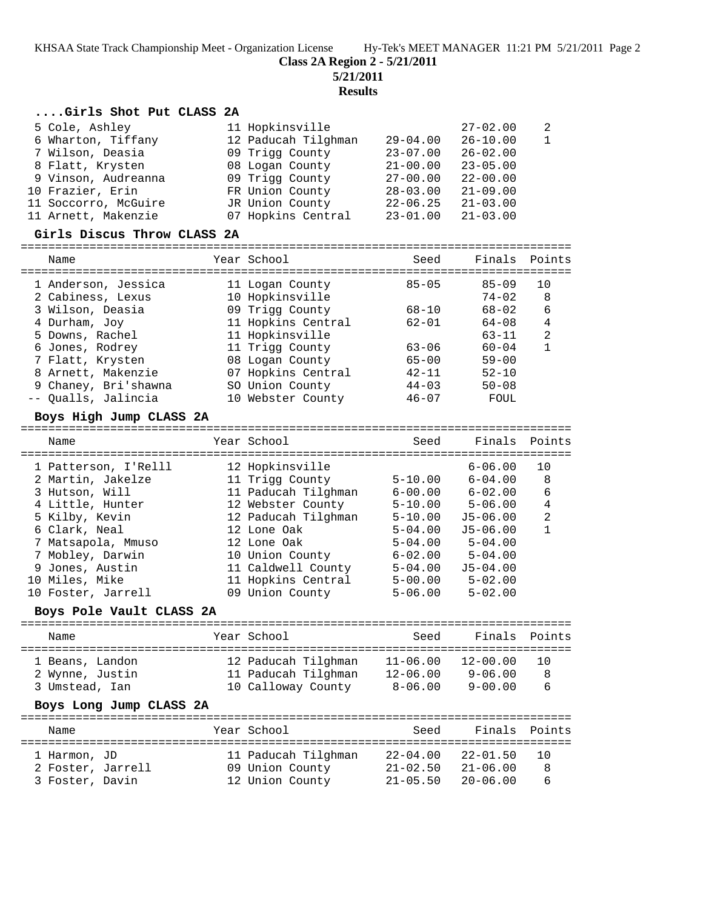**Class 2A Region 2 - 5/21/2011**

**5/21/2011**

**Results**

### **....Girls Shot Put CLASS 2A**

| 5 Cole, Ashley       | 11 Hopkinsville     |              | $27 - 02.00$ | -2 |
|----------------------|---------------------|--------------|--------------|----|
| 6 Wharton, Tiffany   | 12 Paducah Tilghman | $29 - 04.00$ | $26 - 10.00$ | -1 |
| 7 Wilson, Deasia     | 09 Trigg County     | $23 - 07.00$ | $26 - 02.00$ |    |
| 8 Flatt, Krysten     | 08 Logan County     | $21 - 00.00$ | $23 - 05.00$ |    |
| 9 Vinson, Audreanna  | 09 Trigg County     | $27 - 00.00$ | $22 - 00.00$ |    |
| 10 Frazier, Erin     | FR Union County     | $28 - 03.00$ | $21 - 09.00$ |    |
| 11 Soccorro, McGuire | JR Union County     | $22 - 06.25$ | $21 - 03.00$ |    |
| 11 Arnett, Makenzie  | 07 Hopkins Central  | $23 - 01.00$ | $21 - 03.00$ |    |

#### **Girls Discus Throw CLASS 2A**

| Name                                     | Year School                        | Seed      | Finals Points          |                |
|------------------------------------------|------------------------------------|-----------|------------------------|----------------|
| 1 Anderson, Jessica<br>2 Cabiness, Lexus | 11 Logan County<br>10 Hopkinsville | $85 - 05$ | $85 - 09$<br>$74 - 02$ | 10<br>8        |
| 3 Wilson, Deasia                         | 09 Trigg County                    | $68 - 10$ | $68 - 02$              | 6              |
| 4 Durham, Joy                            | 11 Hopkins Central                 | $62 - 01$ | $64 - 08$              | 4              |
| 5 Downs, Rachel                          | 11 Hopkinsville                    |           | $63 - 11$              | $\overline{2}$ |
| 6 Jones, Rodrey                          | 11 Trigg County                    | $63 - 06$ | $60 - 04$              | 1              |
| 7 Flatt, Krysten                         | 08 Logan County                    | $65 - 00$ | $59 - 00$              |                |
| 8 Arnett, Makenzie                       | 07 Hopkins Central                 | $42 - 11$ | $52 - 10$              |                |
| 9 Chaney, Bri'shawna                     | SO Union County                    | $44 - 03$ | $50 - 08$              |                |
| -- Oualls, Jalincia                      | 10 Webster County                  | $46 - 07$ | FOUL                   |                |
|                                          |                                    |           |                        |                |

#### **Boys High Jump CLASS 2A**

================================================================================ Name The Year School Seed Finals Points ================================================================================ 1 Patterson, I'Relll 12 Hopkinsville 6-06.00 10 2 Martin, Jakelze 11 Trigg County 5-10.00 6-04.00 8 3 Hutson, Will 11 Paducah Tilghman 6-00.00 6-02.00 6 4 Little, Hunter 12 Webster County 5-10.00 5-06.00 4 5 Kilby, Kevin 12 Paducah Tilghman 5-10.00 J5-06.00 2 6 Clark, Neal 12 Lone Oak 5-04.00 J5-06.00 1 7 Matsapola, Mmuso 12 Lone Oak 5-04.00 5-04.00 7 Mobley, Darwin 10 Union County 6-02.00 5-04.00 9 Jones, Austin 11 Caldwell County 5-04.00 J5-04.00 10 Miles, Mike 11 Hopkins Central 5-00.00 5-02.00 10 Foster, Jarrell 09 Union County 5-06.00 5-02.00

#### **Boys Pole Vault CLASS 2A**

| Name                                                                            | Year School                                                      | Seed                                        | Finals Points                              |              |
|---------------------------------------------------------------------------------|------------------------------------------------------------------|---------------------------------------------|--------------------------------------------|--------------|
| 1 Beans, Landon<br>2 Wynne, Justin<br>3 Umstead, Ian<br>Boys Long Jump CLASS 2A | 12 Paducah Tilghman<br>11 Paducah Tilghman<br>10 Calloway County | $11 - 06.00$<br>$12 - 06.00$<br>$8 - 06.00$ | $12 - 00.00$<br>$9 - 06.00$<br>$9 - 00.00$ | 10<br>8<br>6 |
| Name                                                                            | Year School                                                      | Seed                                        | Finals Points                              |              |
| 1 Harmon, JD<br>2 Foster, Jarrell                                               | 11 Paducah Tilghman<br>09 Union County                           | $22 - 04.00$<br>$21 - 02.50$                | $22 - 01.50$<br>$21 - 06.00$               | 10<br>8      |

3 Foster, Davin 12 Union County 21-05.50 20-06.00 6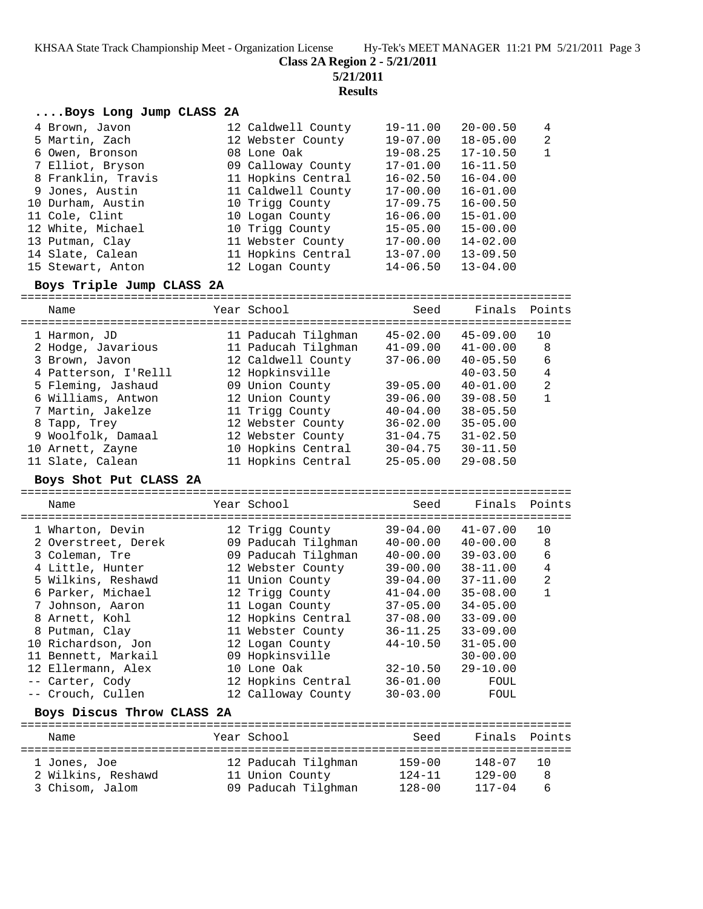KHSAA State Track Championship Meet - Organization License Hy-Tek's MEET MANAGER 11:21 PM 5/21/2011 Page 3

**Class 2A Region 2 - 5/21/2011**

**5/21/2011**

**Results**

| Boys Long Jump CLASS 2A |                    |              |              |                |
|-------------------------|--------------------|--------------|--------------|----------------|
| 4 Brown, Javon          | 12 Caldwell County | 19-11.00     | $20 - 00.50$ | 4              |
| 5 Martin, Zach          | 12 Webster County  | 19-07.00     | $18 - 05.00$ | $\overline{2}$ |
| 6 Owen, Bronson         | 08 Lone Oak        | $19 - 08.25$ | $17 - 10.50$ | $\mathbf{1}$   |
| 7 Elliot, Bryson        | 09 Calloway County | $17 - 01.00$ | $16 - 11.50$ |                |
| 8 Franklin, Travis      | 11 Hopkins Central | $16 - 02.50$ | $16 - 04.00$ |                |
| 9 Jones, Austin         | 11 Caldwell County | $17 - 00.00$ | $16 - 01.00$ |                |
| 10 Durham, Austin       | 10 Trigg County    | $17 - 09.75$ | $16 - 00.50$ |                |
| 11 Cole, Clint          | 10 Logan County    | $16 - 06.00$ | $15 - 01.00$ |                |
| 12 White, Michael       | 10 Trigg County    | $15 - 05.00$ | $15 - 00.00$ |                |
| 13 Putman, Clay         | 11 Webster County  | $17 - 00.00$ | $14 - 02.00$ |                |
| 14 Slate, Calean        | 11 Hopkins Central | $13 - 07.00$ | $13 - 09.50$ |                |
| 15 Stewart, Anton       | 12 Logan County    | $14 - 06.50$ | $13 - 04.00$ |                |
|                         |                    |              |              |                |

#### **Boys Triple Jump CLASS 2A**

================================================================================ Name The Year School Seed Finals Points ================================================================================ 1 Harmon, JD 11 Paducah Tilghman 45-02.00 45-09.00 10 2 Hodge, Javarious 11 Paducah Tilghman 41-09.00 41-00.00 8 3 Brown, Javon 12 Caldwell County 37-06.00 40-05.50 6 4 Patterson, I'Relll 12 Hopkinsville 40-03.50 4 5 Fleming, Jashaud 09 Union County 39-05.00 40-01.00 2 6 Williams, Antwon 12 Union County 39-06.00 39-08.50 1 7 Martin, Jakelze 11 Trigg County 40-04.00 38-05.50 8 Tapp, Trey 12 Webster County 36-02.00 35-05.00 9 Woolfolk, Damaal 12 Webster County 31-04.75 31-02.50 10 Arnett, Zayne 10 Hopkins Central 30-04.75 30-11.50 11 Slate, Calean 11 Hopkins Central 25-05.00 29-08.50

#### **Boys Shot Put CLASS 2A**

================================================================================ Name The Year School Seed Finals Points ================================================================================ 1 Wharton, Devin 12 Trigg County 39-04.00 41-07.00 10 2 Overstreet, Derek 09 Paducah Tilghman 40-00.00 40-00.00 8 3 Coleman, Tre 09 Paducah Tilghman 40-00.00 39-03.00 6 4 Little, Hunter 12 Webster County 39-00.00 38-11.00 4 5 Wilkins, Reshawd 11 Union County 39-04.00 37-11.00 2 6 Parker, Michael 12 Trigg County 41-04.00 35-08.00 1 7 Johnson, Aaron 11 Logan County 37-05.00 34-05.00 8 Arnett, Kohl 12 Hopkins Central 37-08.00 33-09.00 8 Putman, Clay 11 Webster County 36-11.25 33-09.00 10 Richardson, Jon 12 Logan County 44-10.50 31-05.00 11 Bennett, Markail 09 Hopkinsville 30-00.00 12 Ellermann, Alex 10 Lone Oak 32-10.50 29-10.00 -- Carter, Cody 12 Hopkins Central 36-01.00 FOUL -- Crouch, Cullen 12 Calloway County 30-03.00 FOUL **Boys Discus Throw CLASS 2A** ================================================================================

| Name                               | Year School                            | Seed                     | Finals Points            |          |
|------------------------------------|----------------------------------------|--------------------------|--------------------------|----------|
| 1 Jones, Joe<br>2 Wilkins, Reshawd | 12 Paducah Tilghman<br>11 Union County | $159 - 00$<br>$124 - 11$ | $148 - 07$<br>$129 - 00$ | 10.<br>8 |
| 3 Chisom, Jalom                    | 09 Paducah Tilghman                    | $128 - 00$               | $117 - 04$               | 6        |